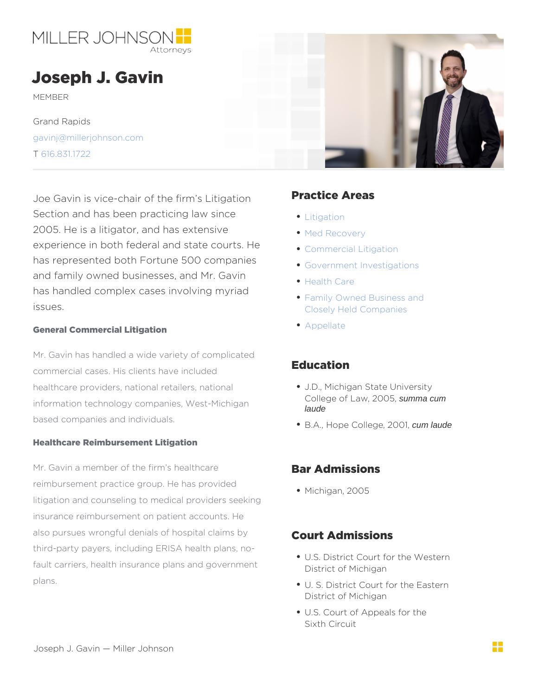## Joseph J. Gavin

MEMBER

Grand Rapids [gavinj@millerjohn](mailto:gavinj@millerjohnson.com)son.com T [616.831](/var/www/html/tel:616.831.1722).1722

Joe Gavin is vice-chair of the firm s PitagatinGG Areas Section and has been practicing law sing  $\rho_{g\,ation}$ 2005. He is a litigator, and has extensived Recovery experience in both federal and state courts elleal Litigation has represented both Fortune 500 companies Investigations and family owned businesses, and Mr. Gavin has handled complex cases involving myriad issues. [Health C](https://millerjohnson.com/practices/industries/health-care/)are [Family Owned Busin](https://millerjohnson.com/practices/industries/family-owned-business-closely-held-companies/)ess and [Closely Held Com](https://millerjohnson.com/practices/industries/family-owned-business-closely-held-companies/)panies

General Commercial Litigation

Mr. Gavin has handled a wide variety of complicated commercial cases. His clients have included Education healthcare providers, national retailers, nation a Michigan State University information technology companies, West-Michigange of, **2005** Summa cum based companies and individuals. laude

• B.A. Hope Coll, e. 00. tum laude

[Appell](https://millerjohnson.com/practices/litigation/appellate/)ate

Healthcare Reimbursement Litigation

Mr. Gavin a member of the firm s healthca Bar Admissions reimbursement practice group. He has provided litigation and counseling to medical providers seeking insurance reimbursement on patient accounts. He also pursues wrongful denials of hospital  $\mathfrak{C}\mathfrak{\delta}$  (T)  $\mathfrak{f}^{\mathfrak{b}}\mathsf{A}$  d missions third-party payers, including ERISA health plans, no fault carriers, health insurance plans and gop for the off Michigan plans. Michiga $2$ n  $05$ U.S. District Court for the Western

- U. S. District Court for the Eastern District of Michigan
- U.S. Court of Appeals for the Sixth Circuit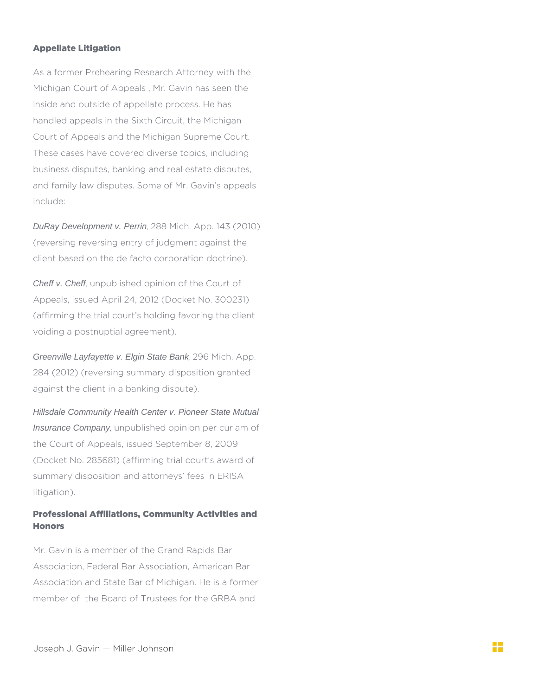## Appellate Litigation

As a former Prehearing Research Attorney with the Michigan Court of Appeals , Mr. Gavin has seen the inside and outside of appellate process. He has handled appeals in the Sixth Circuit, the Michigan Court of Appeals and the Michigan Supreme Court. These cases have covered diverse topics, including business disputes, banking and real estate disputes, and family law disputes. Some of Mr. Gavin's appeals include:

DuRay Development v. Perrin, 288 Mich. App. 143 (2010) (reversing reversing entry of judgment against the client based on the de facto corporation doctrine).

Cheff v. Cheff, unpublished opinion of the Court of Appeals, issued April 24, 2012 (Docket No. 300231) (affirming the trial court's holding favoring the client voiding a postnuptial agreement).

Greenville Layfayette v. Elgin State Bank, 296 Mich. App. 284 (2012) (reversing summary disposition granted against the client in a banking dispute).

Hillsdale Community Health Center v. Pioneer State Mutual Insurance Company, unpublished opinion per curiam of the Court of Appeals, issued September 8, 2009 (Docket No. 285681) (affirming trial court's award of summary disposition and attorneys' fees in ERISA litigation).

## Professional Affiliations, Community Activities and **Honors**

Mr. Gavin is a member of the Grand Rapids Bar Association, Federal Bar Association, American Bar Association and State Bar of Michigan. He is a former member of the Board of Trustees for the GRBA and